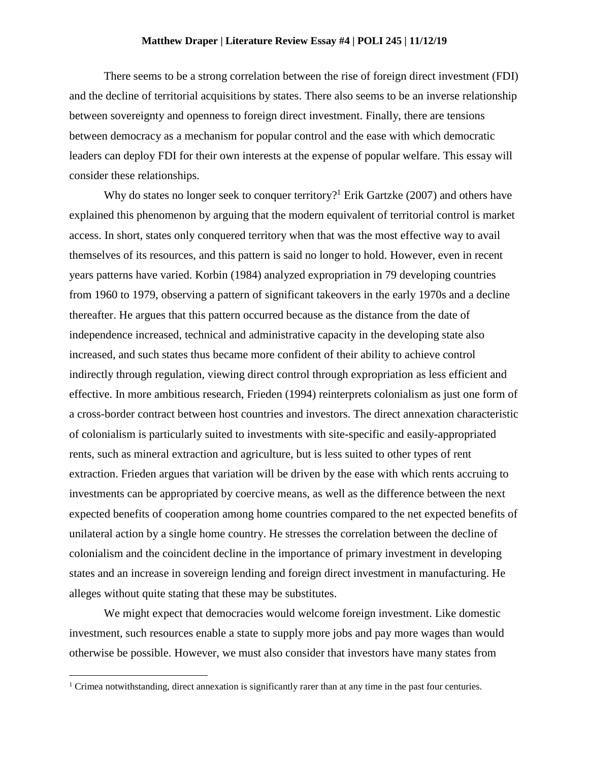## **Matthew Draper | Literature Review Essay #4 | POLI 245 | 11/12/19**

There seems to be a strong correlation between the rise of foreign direct investment (FDI) and the decline of territorial acquisitions by states. There also seems to be an inverse relationship between sovereignty and openness to foreign direct investment. Finally, there are tensions between democracy as a mechanism for popular control and the ease with which democratic leaders can deploy FDI for their own interests at the expense of popular welfare. This essay will consider these relationships.

Why do states no longer seek to conquer territory?<sup>1</sup> Erik Gartzke (2007) and others have explained this phenomenon by arguing that the modern equivalent of territorial control is market access. In short, states only conquered territory when that was the most effective way to avail themselves of its resources, and this pattern is said no longer to hold. However, even in recent years patterns have varied. Korbin (1984) analyzed expropriation in 79 developing countries from 1960 to 1979, observing a pattern of significant takeovers in the early 1970s and a decline thereafter. He argues that this pattern occurred because as the distance from the date of independence increased, technical and administrative capacity in the developing state also increased, and such states thus became more confident of their ability to achieve control indirectly through regulation, viewing direct control through expropriation as less efficient and effective. In more ambitious research, Frieden (1994) reinterprets colonialism as just one form of a cross-border contract between host countries and investors. The direct annexation characteristic of colonialism is particularly suited to investments with site-specific and easily-appropriated rents, such as mineral extraction and agriculture, but is less suited to other types of rent extraction. Frieden argues that variation will be driven by the ease with which rents accruing to investments can be appropriated by coercive means, as well as the difference between the next expected benefits of cooperation among home countries compared to the net expected benefits of unilateral action by a single home country. He stresses the correlation between the decline of colonialism and the coincident decline in the importance of primary investment in developing states and an increase in sovereign lending and foreign direct investment in manufacturing. He alleges without quite stating that these may be substitutes.

We might expect that democracies would welcome foreign investment. Like domestic investment, such resources enable a state to supply more jobs and pay more wages than would otherwise be possible. However, we must also consider that investors have many states from

 $\overline{\phantom{a}}$ 

<sup>&</sup>lt;sup>1</sup> Crimea notwithstanding, direct annexation is significantly rarer than at any time in the past four centuries.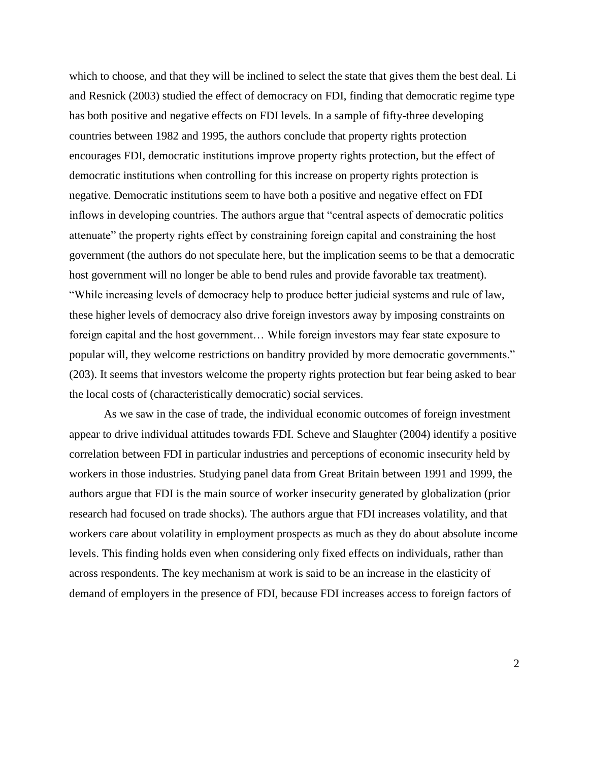which to choose, and that they will be inclined to select the state that gives them the best deal. Li and Resnick (2003) studied the effect of democracy on FDI, finding that democratic regime type has both positive and negative effects on FDI levels. In a sample of fifty-three developing countries between 1982 and 1995, the authors conclude that property rights protection encourages FDI, democratic institutions improve property rights protection, but the effect of democratic institutions when controlling for this increase on property rights protection is negative. Democratic institutions seem to have both a positive and negative effect on FDI inflows in developing countries. The authors argue that "central aspects of democratic politics attenuate" the property rights effect by constraining foreign capital and constraining the host government (the authors do not speculate here, but the implication seems to be that a democratic host government will no longer be able to bend rules and provide favorable tax treatment). "While increasing levels of democracy help to produce better judicial systems and rule of law, these higher levels of democracy also drive foreign investors away by imposing constraints on foreign capital and the host government… While foreign investors may fear state exposure to popular will, they welcome restrictions on banditry provided by more democratic governments." (203). It seems that investors welcome the property rights protection but fear being asked to bear the local costs of (characteristically democratic) social services.

As we saw in the case of trade, the individual economic outcomes of foreign investment appear to drive individual attitudes towards FDI. Scheve and Slaughter (2004) identify a positive correlation between FDI in particular industries and perceptions of economic insecurity held by workers in those industries. Studying panel data from Great Britain between 1991 and 1999, the authors argue that FDI is the main source of worker insecurity generated by globalization (prior research had focused on trade shocks). The authors argue that FDI increases volatility, and that workers care about volatility in employment prospects as much as they do about absolute income levels. This finding holds even when considering only fixed effects on individuals, rather than across respondents. The key mechanism at work is said to be an increase in the elasticity of demand of employers in the presence of FDI, because FDI increases access to foreign factors of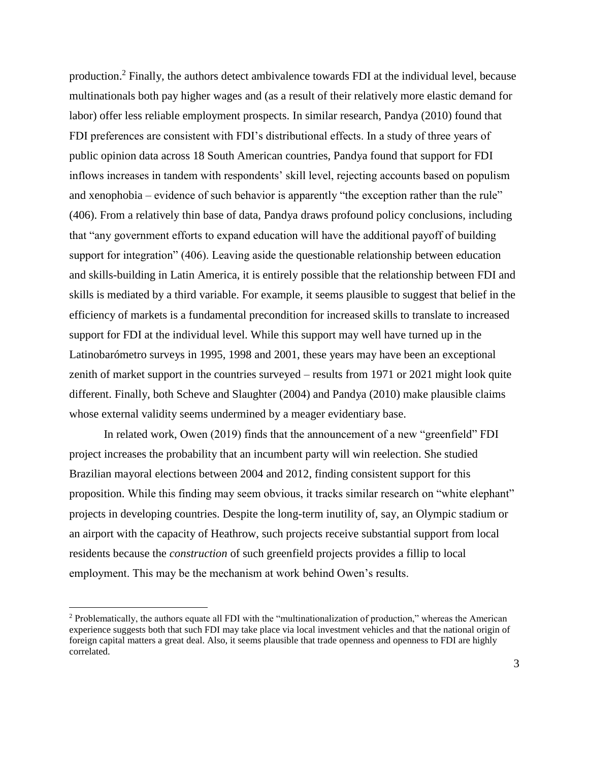production.<sup>2</sup> Finally, the authors detect ambivalence towards FDI at the individual level, because multinationals both pay higher wages and (as a result of their relatively more elastic demand for labor) offer less reliable employment prospects. In similar research, Pandya (2010) found that FDI preferences are consistent with FDI's distributional effects. In a study of three years of public opinion data across 18 South American countries, Pandya found that support for FDI inflows increases in tandem with respondents' skill level, rejecting accounts based on populism and xenophobia – evidence of such behavior is apparently "the exception rather than the rule" (406). From a relatively thin base of data, Pandya draws profound policy conclusions, including that "any government efforts to expand education will have the additional payoff of building support for integration" (406). Leaving aside the questionable relationship between education and skills-building in Latin America, it is entirely possible that the relationship between FDI and skills is mediated by a third variable. For example, it seems plausible to suggest that belief in the efficiency of markets is a fundamental precondition for increased skills to translate to increased support for FDI at the individual level. While this support may well have turned up in the Latinobarómetro surveys in 1995, 1998 and 2001, these years may have been an exceptional zenith of market support in the countries surveyed – results from 1971 or 2021 might look quite different. Finally, both Scheve and Slaughter (2004) and Pandya (2010) make plausible claims whose external validity seems undermined by a meager evidentiary base.

In related work, Owen (2019) finds that the announcement of a new "greenfield" FDI project increases the probability that an incumbent party will win reelection. She studied Brazilian mayoral elections between 2004 and 2012, finding consistent support for this proposition. While this finding may seem obvious, it tracks similar research on "white elephant" projects in developing countries. Despite the long-term inutility of, say, an Olympic stadium or an airport with the capacity of Heathrow, such projects receive substantial support from local residents because the *construction* of such greenfield projects provides a fillip to local employment. This may be the mechanism at work behind Owen's results.

 $\overline{\phantom{a}}$ 

<sup>&</sup>lt;sup>2</sup> Problematically, the authors equate all FDI with the "multinationalization of production," whereas the American experience suggests both that such FDI may take place via local investment vehicles and that the national origin of foreign capital matters a great deal. Also, it seems plausible that trade openness and openness to FDI are highly correlated.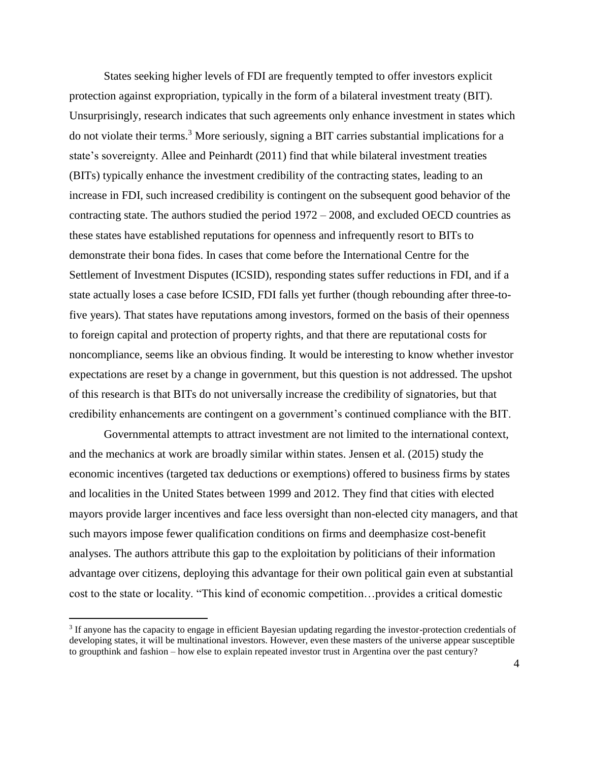States seeking higher levels of FDI are frequently tempted to offer investors explicit protection against expropriation, typically in the form of a bilateral investment treaty (BIT). Unsurprisingly, research indicates that such agreements only enhance investment in states which do not violate their terms.<sup>3</sup> More seriously, signing a BIT carries substantial implications for a state's sovereignty. Allee and Peinhardt (2011) find that while bilateral investment treaties (BITs) typically enhance the investment credibility of the contracting states, leading to an increase in FDI, such increased credibility is contingent on the subsequent good behavior of the contracting state. The authors studied the period 1972 – 2008, and excluded OECD countries as these states have established reputations for openness and infrequently resort to BITs to demonstrate their bona fides. In cases that come before the International Centre for the Settlement of Investment Disputes (ICSID), responding states suffer reductions in FDI, and if a state actually loses a case before ICSID, FDI falls yet further (though rebounding after three-tofive years). That states have reputations among investors, formed on the basis of their openness to foreign capital and protection of property rights, and that there are reputational costs for noncompliance, seems like an obvious finding. It would be interesting to know whether investor expectations are reset by a change in government, but this question is not addressed. The upshot of this research is that BITs do not universally increase the credibility of signatories, but that credibility enhancements are contingent on a government's continued compliance with the BIT.

Governmental attempts to attract investment are not limited to the international context, and the mechanics at work are broadly similar within states. Jensen et al. (2015) study the economic incentives (targeted tax deductions or exemptions) offered to business firms by states and localities in the United States between 1999 and 2012. They find that cities with elected mayors provide larger incentives and face less oversight than non-elected city managers, and that such mayors impose fewer qualification conditions on firms and deemphasize cost-benefit analyses. The authors attribute this gap to the exploitation by politicians of their information advantage over citizens, deploying this advantage for their own political gain even at substantial cost to the state or locality. "This kind of economic competition…provides a critical domestic

 $\overline{a}$ 

<sup>&</sup>lt;sup>3</sup> If anyone has the capacity to engage in efficient Bayesian updating regarding the investor-protection credentials of developing states, it will be multinational investors. However, even these masters of the universe appear susceptible to groupthink and fashion – how else to explain repeated investor trust in Argentina over the past century?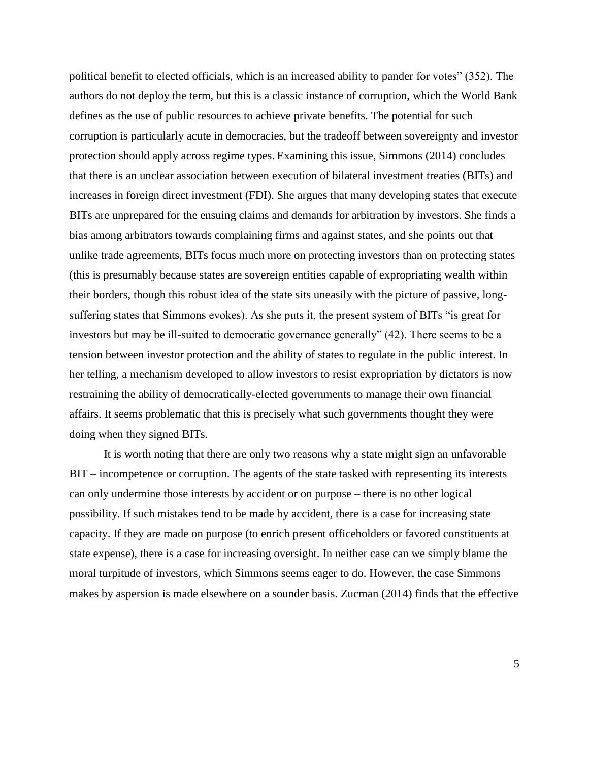political benefit to elected officials, which is an increased ability to pander for votes" (352). The authors do not deploy the term, but this is a classic instance of corruption, which the World Bank defines as the use of public resources to achieve private benefits. The potential for such corruption is particularly acute in democracies, but the tradeoff between sovereignty and investor protection should apply across regime types. Examining this issue, Simmons (2014) concludes that there is an unclear association between execution of bilateral investment treaties (BITs) and increases in foreign direct investment (FDI). She argues that many developing states that execute BITs are unprepared for the ensuing claims and demands for arbitration by investors. She finds a bias among arbitrators towards complaining firms and against states, and she points out that unlike trade agreements, BITs focus much more on protecting investors than on protecting states (this is presumably because states are sovereign entities capable of expropriating wealth within their borders, though this robust idea of the state sits uneasily with the picture of passive, longsuffering states that Simmons evokes). As she puts it, the present system of BITs "is great for investors but may be ill-suited to democratic governance generally" (42). There seems to be a tension between investor protection and the ability of states to regulate in the public interest. In her telling, a mechanism developed to allow investors to resist expropriation by dictators is now restraining the ability of democratically-elected governments to manage their own financial affairs. It seems problematic that this is precisely what such governments thought they were doing when they signed BITs.

It is worth noting that there are only two reasons why a state might sign an unfavorable BIT – incompetence or corruption. The agents of the state tasked with representing its interests can only undermine those interests by accident or on purpose – there is no other logical possibility. If such mistakes tend to be made by accident, there is a case for increasing state capacity. If they are made on purpose (to enrich present officeholders or favored constituents at state expense), there is a case for increasing oversight. In neither case can we simply blame the moral turpitude of investors, which Simmons seems eager to do. However, the case Simmons makes by aspersion is made elsewhere on a sounder basis. Zucman (2014) finds that the effective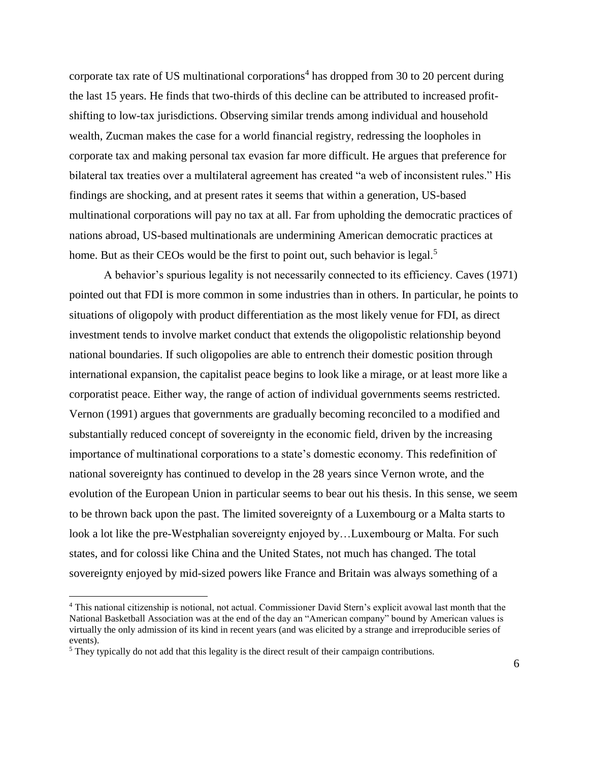corporate tax rate of US multinational corporations<sup>4</sup> has dropped from 30 to 20 percent during the last 15 years. He finds that two-thirds of this decline can be attributed to increased profitshifting to low-tax jurisdictions. Observing similar trends among individual and household wealth, Zucman makes the case for a world financial registry, redressing the loopholes in corporate tax and making personal tax evasion far more difficult. He argues that preference for bilateral tax treaties over a multilateral agreement has created "a web of inconsistent rules." His findings are shocking, and at present rates it seems that within a generation, US-based multinational corporations will pay no tax at all. Far from upholding the democratic practices of nations abroad, US-based multinationals are undermining American democratic practices at home. But as their CEOs would be the first to point out, such behavior is legal.<sup>5</sup>

A behavior's spurious legality is not necessarily connected to its efficiency. Caves (1971) pointed out that FDI is more common in some industries than in others. In particular, he points to situations of oligopoly with product differentiation as the most likely venue for FDI, as direct investment tends to involve market conduct that extends the oligopolistic relationship beyond national boundaries. If such oligopolies are able to entrench their domestic position through international expansion, the capitalist peace begins to look like a mirage, or at least more like a corporatist peace. Either way, the range of action of individual governments seems restricted. Vernon (1991) argues that governments are gradually becoming reconciled to a modified and substantially reduced concept of sovereignty in the economic field, driven by the increasing importance of multinational corporations to a state's domestic economy. This redefinition of national sovereignty has continued to develop in the 28 years since Vernon wrote, and the evolution of the European Union in particular seems to bear out his thesis. In this sense, we seem to be thrown back upon the past. The limited sovereignty of a Luxembourg or a Malta starts to look a lot like the pre-Westphalian sovereignty enjoyed by…Luxembourg or Malta. For such states, and for colossi like China and the United States, not much has changed. The total sovereignty enjoyed by mid-sized powers like France and Britain was always something of a

 $\overline{\phantom{a}}$ 

<sup>4</sup> This national citizenship is notional, not actual. Commissioner David Stern's explicit avowal last month that the National Basketball Association was at the end of the day an "American company" bound by American values is virtually the only admission of its kind in recent years (and was elicited by a strange and irreproducible series of events).

 $<sup>5</sup>$  They typically do not add that this legality is the direct result of their campaign contributions.</sup>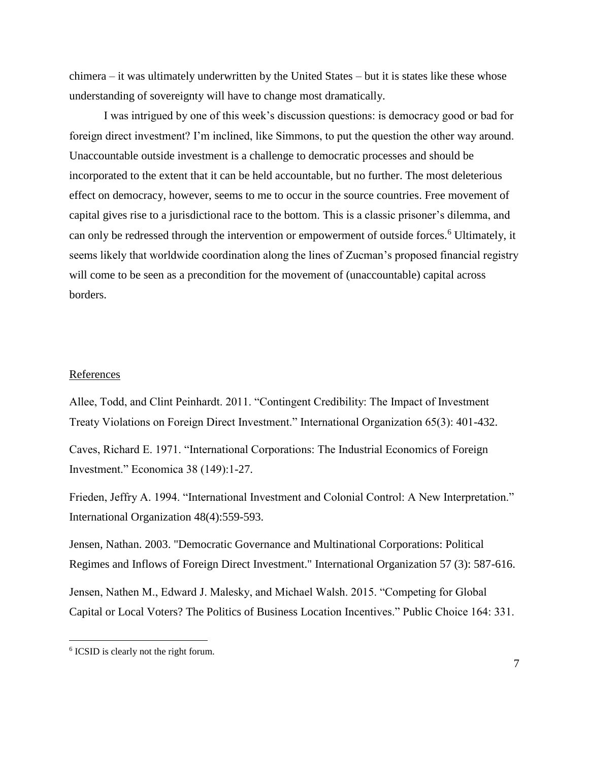chimera – it was ultimately underwritten by the United States – but it is states like these whose understanding of sovereignty will have to change most dramatically.

I was intrigued by one of this week's discussion questions: is democracy good or bad for foreign direct investment? I'm inclined, like Simmons, to put the question the other way around. Unaccountable outside investment is a challenge to democratic processes and should be incorporated to the extent that it can be held accountable, but no further. The most deleterious effect on democracy, however, seems to me to occur in the source countries. Free movement of capital gives rise to a jurisdictional race to the bottom. This is a classic prisoner's dilemma, and can only be redressed through the intervention or empowerment of outside forces.<sup>6</sup> Ultimately, it seems likely that worldwide coordination along the lines of Zucman's proposed financial registry will come to be seen as a precondition for the movement of (unaccountable) capital across borders.

## **References**

Allee, Todd, and Clint Peinhardt. 2011. "Contingent Credibility: The Impact of Investment Treaty Violations on Foreign Direct Investment." International Organization 65(3): 401-432.

Caves, Richard E. 1971. "International Corporations: The Industrial Economics of Foreign Investment." Economica 38 (149):1-27.

Frieden, Jeffry A. 1994. "International Investment and Colonial Control: A New Interpretation." International Organization 48(4):559-593.

Jensen, Nathan. 2003. "Democratic Governance and Multinational Corporations: Political Regimes and Inflows of Foreign Direct Investment." International Organization 57 (3): 587-616.

Jensen, Nathen M., Edward J. Malesky, and Michael Walsh. 2015. "Competing for Global Capital or Local Voters? The Politics of Business Location Incentives." Public Choice 164: 331.

l

<sup>6</sup> ICSID is clearly not the right forum.